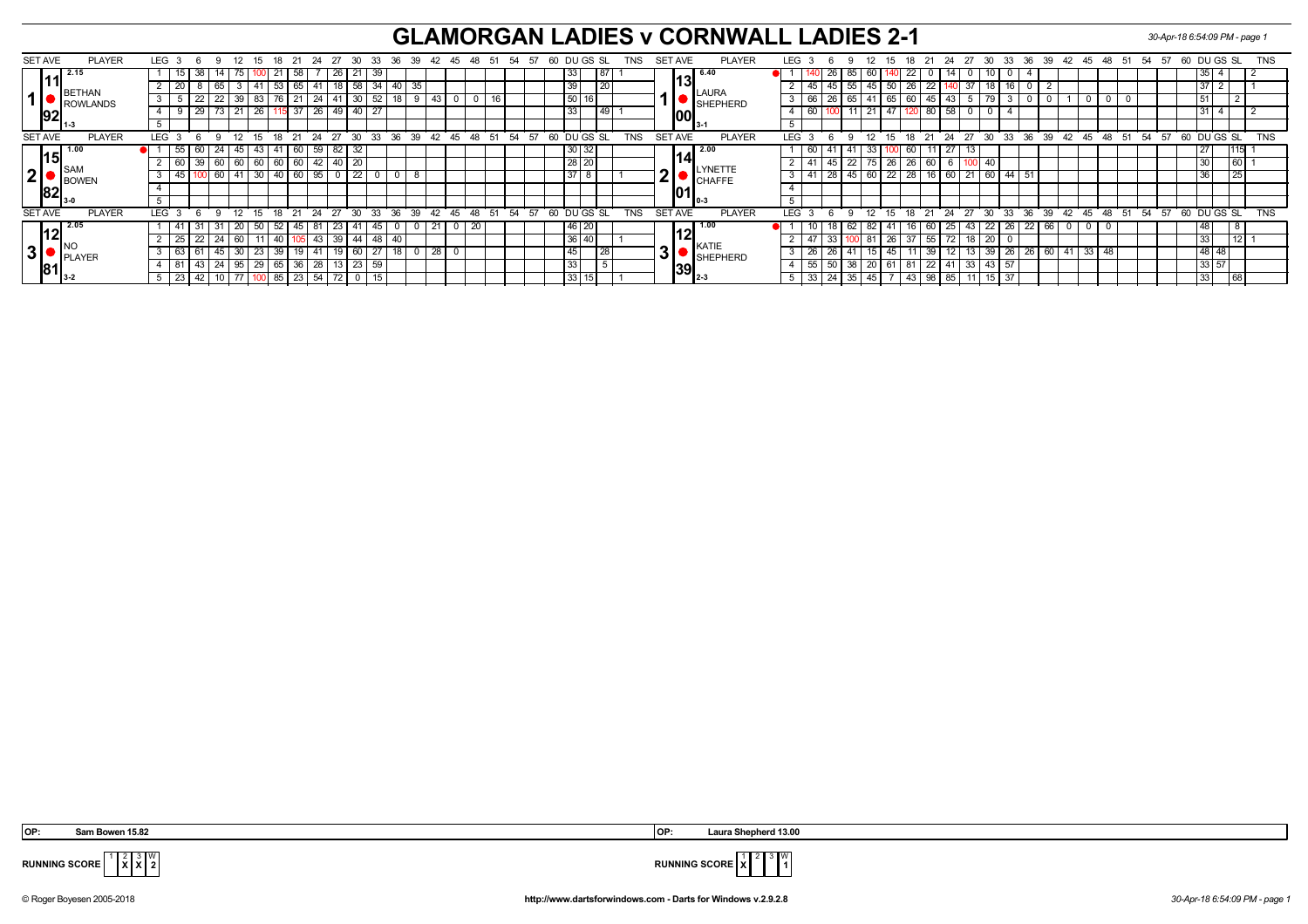## **GLAMORGAN LADIES v CORNWALL LADIES 2-1** *30-Apr-18 6:54:09 PM - page 1*

|   | <b>SET AVE</b> | <b>PLAYER</b>                 |  | LEG 3                                                             |          | -9       | - 12            | 15          |    | 18 21   |          | 24 27 30 |              |             | 33 36 39 42 45 48 51 54 57         |     |               |    |          |       | 60 |                 | DU GS SL    |    | TNS        |           | SET AVE        | <b>PLAYER</b>  | <b>LEG</b> |    | 6            | -9                                   | 12  | - 18<br>-15     |          |               |       |              |                     |       |    |         | 21 24 27 30 33 36 39 42 45 48 51 54 57 |       |    |       | 60 DU GS SL |                 |       |       | TNS        |
|---|----------------|-------------------------------|--|-------------------------------------------------------------------|----------|----------|-----------------|-------------|----|---------|----------|----------|--------------|-------------|------------------------------------|-----|---------------|----|----------|-------|----|-----------------|-------------|----|------------|-----------|----------------|----------------|------------|----|--------------|--------------------------------------|-----|-----------------|----------|---------------|-------|--------------|---------------------|-------|----|---------|----------------------------------------|-------|----|-------|-------------|-----------------|-------|-------|------------|
|   |                | 2.15                          |  |                                                                   | 38<br>15 |          |                 |             | 21 | 58      |          |          | 26           | 21          | 39                                 |     |               |    |          |       |    | 33 <sub>1</sub> |             | 87 |            |           |                | 6.40           |            |    | ∠o           |                                      |     |                 | 22       |               |       |              |                     |       |    |         |                                        |       |    |       |             | , 35 '          |       |       |            |
|   |                | <b>BETHAN</b><br>ROWLANDS     |  |                                                                   |          | 65       |                 |             |    | 65      |          |          |              | 58          |                                    | 35  |               |    |          |       |    | 39              | 1 ZU        |    |            |           | 131            |                |            | 45 |              | 45                                   |     | 26              |          |               |       |              |                     |       |    |         |                                        |       |    |       |             |                 |       |       |            |
|   |                |                               |  |                                                                   | 22       |          | 39              | 83          |    |         | 24       |          |              |             |                                    |     |               |    |          |       |    | 50116           |             |    |            |           |                | <b>LAURA</b>   |            | 66 |              | -41                                  |     |                 | 60       |               |       |              |                     |       |    |         |                                        |       |    |       |             |                 |       |       |            |
|   |                |                               |  |                                                                   |          | 29       |                 | 26          |    |         | 37       | 26<br>49 |              | 40 I        |                                    |     |               |    |          |       |    | 33              |             | 49 |            |           |                | SHEPHERD       |            | 60 |              | $11$ 21                              | .47 |                 | 80       |               |       |              |                     |       |    |         |                                        |       |    |       |             |                 |       |       |            |
|   |                | $ 92 _{_{1\cdot 3}}$          |  |                                                                   |          |          |                 |             |    |         |          |          |              |             |                                    |     |               |    |          |       |    |                 |             |    |            |           | IOOI           | $13-1$         |            |    |              |                                      |     |                 |          |               |       |              |                     |       |    |         |                                        |       |    |       |             |                 |       |       |            |
|   |                |                               |  |                                                                   |          | $\alpha$ |                 | 15          |    |         |          | 24 27    |              |             |                                    |     |               |    |          |       |    |                 |             |    |            |           |                |                |            |    | $\epsilon$   | 9                                    | 15  |                 |          | $18$ 21 24 27 |       |              |                     |       |    |         |                                        |       |    |       |             |                 |       |       | <b>TNS</b> |
|   | <b>SET AVE</b> | <b>PLAYER</b>                 |  | <b>LEG</b>                                                        |          |          | $^{\circ}$ 12   |             |    | $18$ 21 |          |          | 30           |             | $33 \t36 \t39 \t42 \t45 \t48 \t51$ |     |               |    |          | 54 57 |    |                 | 60 DUGS SL  |    | <b>TNS</b> |           | <b>SET AVE</b> | <b>PLAYER</b>  | <b>LEG</b> |    |              | $^{\circ}$ 12                        |     |                 |          |               |       |              | $30 \quad 33$       |       |    |         | 36 39 42 45                            | 48    | 51 | 54 57 | 60 DU GS SL |                 |       |       |            |
|   |                |                               |  |                                                                   | 55<br>60 | 24.      | 45              | 43          |    | 60      | 59       |          |              | 32          |                                    |     |               |    |          |       |    | $30 \mid 32$    |             |    |            |           |                | 2.00           |            | 60 |              |                                      | 33  | 60              |          |               | 13    |              |                     |       |    |         |                                        |       |    |       |             |                 |       | l115l |            |
|   | l15I           | <b>ISAN</b><br><b>I</b> BOWEN |  |                                                                   | 39       | 60       |                 | 60          | 60 |         | 60<br>42 |          |              | 20          |                                    |     |               |    |          |       |    | $28$ 20         |             |    |            |           | 14             |                |            | 41 |              | $\overline{22}$                      | 75  | 26              | 26<br>60 |               |       |              |                     |       |    |         |                                        |       |    |       |             |                 |       | 60 L  |            |
| 2 |                |                               |  |                                                                   |          | 60       |                 | 30          | 40 | 60      | 95       |          |              | 22          |                                    | - 8 |               |    |          |       |    | $37$ 8          |             |    |            |           |                | <b>LYNETTE</b> |            | 41 | 28           | 45                                   | 60  | $\overline{22}$ | 28       |               | 21    |              | 60 44               |       |    |         |                                        |       |    |       |             |                 | ن ے ا |       |            |
|   | 82             |                               |  |                                                                   |          |          |                 |             |    |         |          |          |              |             |                                    |     |               |    |          |       |    |                 |             |    |            |           |                | <b>CHAFFE</b>  |            |    |              |                                      |     |                 |          |               |       |              |                     |       |    |         |                                        |       |    |       |             |                 |       |       |            |
|   |                |                               |  |                                                                   |          |          |                 |             |    |         |          |          |              |             |                                    |     |               |    |          |       |    |                 |             |    |            |           |                |                | " II 0-3   |    |              |                                      |     |                 |          |               |       |              |                     |       |    |         |                                        |       |    |       |             |                 |       |       |            |
|   |                |                               |  |                                                                   |          |          |                 |             |    |         |          |          |              |             |                                    |     |               |    |          |       |    |                 |             |    |            |           |                |                |            |    |              |                                      |     |                 |          |               |       |              |                     |       |    |         |                                        |       |    |       |             |                 |       |       |            |
|   | <b>SET AVE</b> | <b>PLAYER</b>                 |  | LEG                                                               |          | <b>Q</b> | 12              | 15          | 18 | 21      |          | 24 27    | $30^{\circ}$ |             | 33<br>$36^\circ$                   | 39  | $42 \quad 45$ | 48 | 51 54 57 |       |    |                 | 60 DU GS SL |    | TNS        |           | <b>SET AVE</b> | <b>PLAYER</b>  | <b>LEG</b> |    | $\epsilon$   | 12<br>$\mathbf{Q}$                   | 15  |                 |          | 18 21 24      | 27    | $30^{\circ}$ | $33^{\circ}$        | 36    | 39 |         | $42 \quad 45$                          | $-48$ | 51 | 54 57 | 60 DU GS SL |                 |       |       | <b>TNS</b> |
|   |                | 2.05                          |  |                                                                   |          |          | 20              |             |    |         |          |          |              |             |                                    |     |               | 20 |          |       |    | 46 20           |             |    |            |           |                |                |            |    |              |                                      |     |                 |          |               | 43    |              |                     |       | 22 | 66      |                                        |       |    |       |             |                 |       |       |            |
|   | 12             |                               |  |                                                                   | -25      |          | σU              |             |    |         | 43       |          |              | 44          |                                    |     |               |    |          |       |    | 36 40           |             |    |            |           |                |                |            | 4  |              | -81                                  |     | 20              | 55       |               | 18    |              |                     |       |    |         |                                        |       |    |       |             | $\sqrt{33}$     |       |       |            |
|   | 3              | <b>PLAYER</b>                 |  |                                                                   | 63       | 45       | 30 <sup>2</sup> | $\sqrt{23}$ | 39 |         | -41      |          |              | 60          | -27                                | 0   | 28            |    |          |       |    | 45              | 28          |    |            | ◚<br>-31' |                | KATIE          |            | 26 |              |                                      |     |                 | -39      |               | 13    |              | 39   26             |       | 26 | 60   41 |                                        | 33 48 |    |       |             | 48   48         |       |       |            |
|   |                |                               |  |                                                                   |          | 43       | 24 <sub>1</sub> | 95          |    | 29   65 |          | 36<br>28 |              |             | 23                                 | 59  |               |    |          |       |    |                 | 33          |    | 5          |           |                |                | SHEPHERD   |    | $55^{\circ}$ | 50                                   | 38  | 20 61           | 81       |               | 22 41 | 33           |                     | 43 57 |    |         |                                        |       |    |       |             |                 | 33 57 |       |            |
|   |                | $\ 81\ _{_{3\text{-}2}}$      |  |                                                                   |          |          |                 |             |    |         |          |          |              |             |                                    |     |               |    |          |       |    |                 |             |    |            |           | 1391           |                |            |    |              |                                      |     |                 |          |               |       |              |                     |       |    |         |                                        |       |    |       |             |                 |       |       |            |
|   |                |                               |  | $5 \mid 23 \mid 42 \mid 10 \mid 77 \mid 100 \mid 85 \mid 23 \mid$ |          |          |                 |             |    |         |          | 54 72    |              | $\mathbf 0$ | 15                                 |     |               |    |          |       |    | 33 15           |             |    |            |           | - 12-3         |                |            |    |              | 33   24   35   45   7   43   98   85 |     |                 |          |               |       | 11           | $15 \overline{)37}$ |       |    |         |                                        |       |    |       |             | $\overline{33}$ | 68    |       |            |

**X** 3 **X** W

 **OP: Sam Bowen 15.82 OP: Laura Shepherd 13.00**



**RUNNING SCORE**